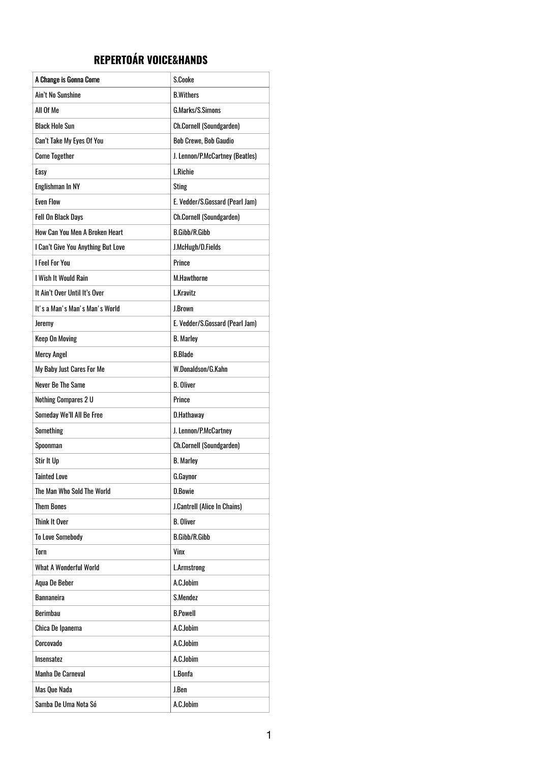## **REPERTOÁR VOICE&HANDS**

| A Change is Gonna Come             | S.Cooke                         |
|------------------------------------|---------------------------------|
| Ain't No Sunshine                  | <b>B.Withers</b>                |
| All Of Me                          | G.Marks/S.Simons                |
| <b>Black Hole Sun</b>              | <b>Ch.Cornell (Soundgarden)</b> |
| Can't Take My Eyes Of You          | <b>Bob Crewe, Bob Gaudio</b>    |
| <b>Come Together</b>               | J. Lennon/P.McCartney (Beatles) |
| Easy                               | L.Richie                        |
| Englishman In NY                   | <b>Sting</b>                    |
| <b>Even Flow</b>                   | E. Vedder/S.Gossard (Pearl Jam) |
| <b>Fell On Black Days</b>          | <b>Ch.Cornell (Soundgarden)</b> |
| How Can You Men A Broken Heart     | <b>B.Gibb/R.Gibb</b>            |
| I Can't Give You Anything But Love | J.McHugh/D.Fields               |
| <b>I Feel For You</b>              | <b>Prince</b>                   |
| I Wish It Would Rain               | <b>M.Hawthorne</b>              |
| It Ain't Over Until It's Over      | L.Kravitz                       |
| It's a Man's Man's Man's World     | J.Brown                         |
| <b>Jeremy</b>                      | E. Vedder/S.Gossard (Pearl Jam) |
| <b>Keep On Moving</b>              | <b>B.</b> Marley                |
| <b>Mercy Angel</b>                 | <b>B.Blade</b>                  |
| My Baby Just Cares For Me          | W.Donaldson/G.Kahn              |
| Never Be The Same                  | <b>B.</b> Oliver                |
| Nothing Compares 2 U               | <b>Prince</b>                   |
| Someday We'll All Be Free          | D.Hathaway                      |
| Something                          | J. Lennon/P.McCartney           |
| Spoonman                           | <b>Ch.Cornell (Soundgarden)</b> |
| Stir It Up                         | <b>B.</b> Marley                |
| <b>Tainted Love</b>                | G.Gaynor                        |
| The Man Who Sold The World         | D.Bowie                         |
| <b>Them Bones</b>                  | J.Cantrell (Alice In Chains)    |
| <b>Think It Over</b>               | <b>B.</b> Oliver                |
| <b>To Love Somebody</b>            | <b>B.Gibb/R.Gibb</b>            |
| Torn                               | Vinx                            |
| <b>What A Wonderful World</b>      | <b>L.Armstrong</b>              |
| Aqua De Beber                      | A.C.Jobim                       |
| <b>Bannaneira</b>                  | S.Mendez                        |
| <b>Berimbau</b>                    | <b>B.Powell</b>                 |
| Chica De Ipanema                   | A.C.Jobim                       |
| Corcovado                          | A.C.Jobim                       |
| Insensatez                         | A.C.Jobim                       |
| Manha De Carneval                  | L.Bonfa                         |
| Mas Que Nada                       | J.Ben                           |
|                                    |                                 |

1